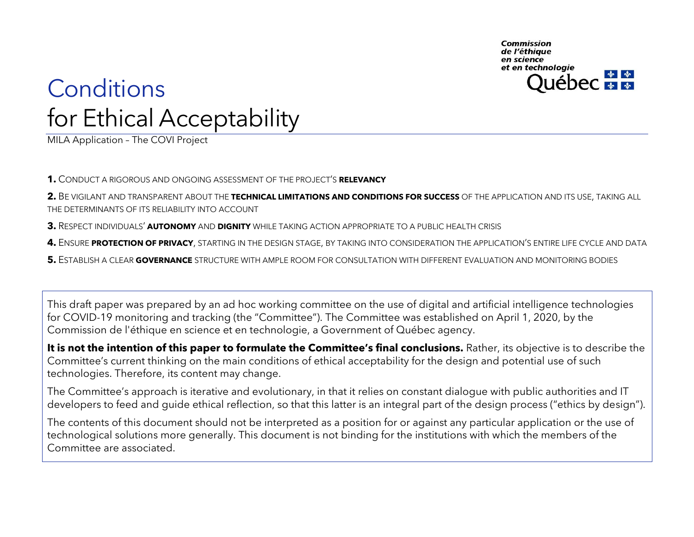Commission de l'éthique en science et en technologie ébec <del>¥ ¥</del>

### **Conditions** for Ethical Acceptability

MILA Application – The COVI Project

**1.** C[ONDUCT A RIGOROUS AND ONGOING ASSESSMENT](#page-1-0) OF THE PROJECT'S **RELEVANCY**

**2.** BE VIGILANT AND TRANSPARENT ABOUT THE **[TECHNICAL LIMITATIONS AND CONDITIONS FOR](#page-2-0) SUCCESS** OF THE APPLICATION AND ITS USE, TAKING ALL [THE DETERMINANTS OF ITS RELIABILITY INTO](#page-2-0) ACCOUNT

**3.** RESPECT INDIVIDUALS' **AUTONOMY** AND **DIGNITY** WHILE TAKING ACTION [APPROPRIATE TO A PUBLIC HEALTH CRISIS](#page-3-0)

**4.** ENSURE **PROTECTION OF PRIVACY**, STARTING IN THE DESIGN STAGE, [BY TAKING INTO CONSIDERATION THE APPLICATION](#page-4-0)'S ENTIRE LIFE CYCLE AND DATA

**5.** ESTABLISH A CLEAR **GOVERNANCE** [STRUCTURE WITH AMPLE ROOM FOR CONSULTATION WITH DIFFERENT EVALUATION AND MONITORING BODIES](#page-5-0)

This draft paper was prepared by an ad hoc working committee on the use of digital and artificial intelligence technologies for COVID-19 monitoring and tracking (the "Committee"). The Committee was established on April 1, 2020, by the Commission de l'éthique en science et en technologie, a Government of Québec agency.

**It is not the intention of this paper to formulate the Committee's final conclusions.** Rather, its objective is to describe the Committee's current thinking on the main conditions of ethical acceptability for the design and potential use of such technologies. Therefore, its content may change.

The Committee's approach is iterative and evolutionary, in that it relies on constant dialogue with public authorities and IT developers to feed and guide ethical reflection, so that this latter is an integral part of the design process ("ethics by design").

The contents of this document should not be interpreted as a position for or against any particular application or the use of technological solutions more generally. This document is not binding for the institutions with which the members of the Committee are associated.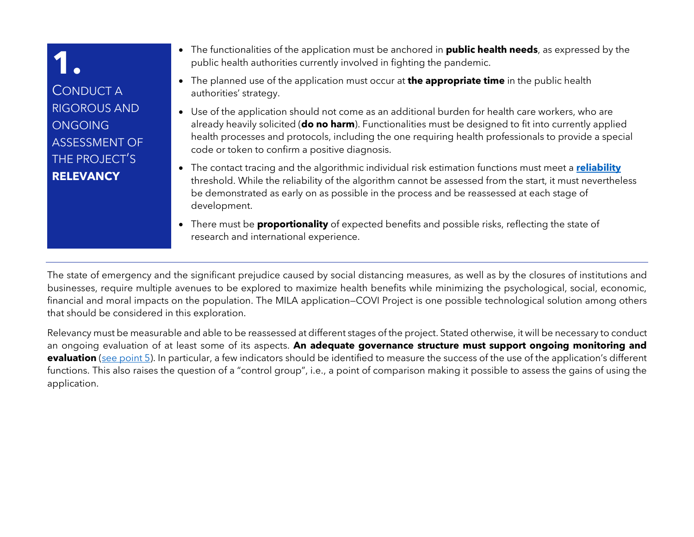### <span id="page-1-0"></span>**1.** CONDUCT A RIGOROUS AND **ONGOING** ASSESSMENT OF THE PROJECT'S **RELEVANCY**

- The functionalities of the application must be anchored in **public health needs**, as expressed by the public health authorities currently involved in fighting the pandemic.
- The planned use of the application must occur at **the appropriate time** in the public health authorities' strategy.
- Use of the application should not come as an additional burden for health care workers, who are already heavily solicited (**do no harm**). Functionalities must be designed to fit into currently applied health processes and protocols, including the one requiring health professionals to provide a special code or token to confirm a positive diagnosis.
- The contact tracing and the algorithmic individual risk estimation functions must meet a **[reliability](#page-2-0)** threshold. While the reliability of the algorithm cannot be assessed from the start, it must nevertheless be demonstrated as early on as possible in the process and be reassessed at each stage of development.
- There must be **proportionality** of expected benefits and possible risks, reflecting the state of research and international experience.

The state of emergency and the significant prejudice caused by social distancing measures, as well as by the closures of institutions and businesses, require multiple avenues to be explored to maximize health benefits while minimizing the psychological, social, economic, financial and moral impacts on the population. The MILA application—COVI Project is one possible technological solution among others that should be considered in this exploration.

Relevancy must be measurable and able to be reassessed at different stages of the project. Stated otherwise, it will be necessary to conduct an ongoing evaluation of at least some of its aspects. **An adequate governance structure must support ongoing monitoring and evaluation** [\(see point 5](#page-5-0)). In particular, a few indicators should be identified to measure the success of the use of the application's different functions. This also raises the question of a "control group", i.e., a point of comparison making it possible to assess the gains of using the application.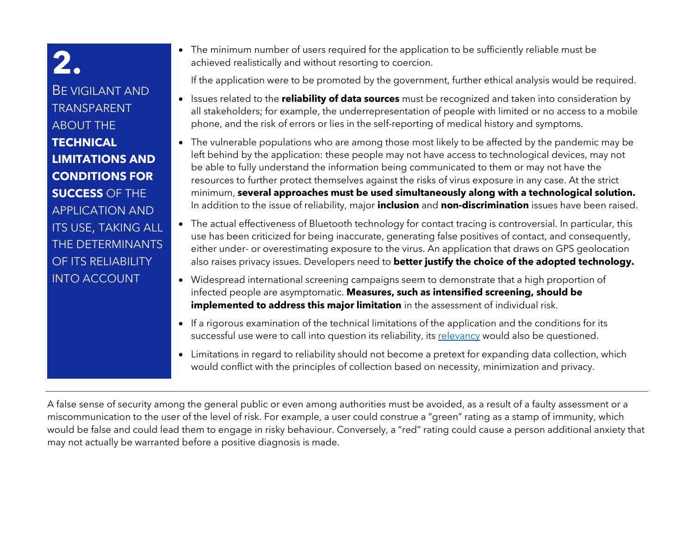<span id="page-2-0"></span>BE VIGILANT AND TRANSPARENT ABOUT THE **TECHNICAL LIMITATIONS AND CONDITIONS FOR SUCCESS** OF THE APPLICATION AND ITS USE, TAKING ALL THE DETERMINANTS OF ITS RELIABILITY INTO ACCOUNT

• The minimum number of users required for the application to be sufficiently reliable must be achieved realistically and without resorting to coercion.

If the application were to be promoted by the government, further ethical analysis would be required.

- Issues related to the **reliability of data sources** must be recognized and taken into consideration by all stakeholders; for example, the underrepresentation of people with limited or no access to a mobile phone, and the risk of errors or lies in the self-reporting of medical history and symptoms.
- The vulnerable populations who are among those most likely to be affected by the pandemic may be left behind by the application: these people may not have access to technological devices, may not be able to fully understand the information being communicated to them or may not have the resources to further protect themselves against the risks of virus exposure in any case. At the strict minimum, **several approaches must be used simultaneously along with a technological solution.** In addition to the issue of reliability, major **inclusion** and **non-discrimination** issues have been raised.
- The actual effectiveness of Bluetooth technology for contact tracing is controversial. In particular, this use has been criticized for being inaccurate, generating false positives of contact, and consequently, either under- or overestimating exposure to the virus. An application that draws on GPS geolocation also raises privacy issues. Developers need to **better justify the choice of the adopted technology.**
- Widespread international screening campaigns seem to demonstrate that a high proportion of infected people are asymptomatic. **Measures, such as intensified screening, should be implemented to address this major limitation** in the assessment of individual risk.
- If a rigorous examination of the technical limitations of the application and the conditions for its successful use were to call into question its reliability, its [relevancy](#page-1-0) would also be questioned.
- Limitations in regard to reliability should not become a pretext for expanding data collection, which would conflict with the principles of collection based on necessity, minimization and privacy.

A false sense of security among the general public or even among authorities must be avoided, as a result of a faulty assessment or a miscommunication to the user of the level of risk. For example, a user could construe a "green" rating as a stamp of immunity, which would be false and could lead them to engage in risky behaviour. Conversely, a "red" rating could cause a person additional anxiety that may not actually be warranted before a positive diagnosis is made.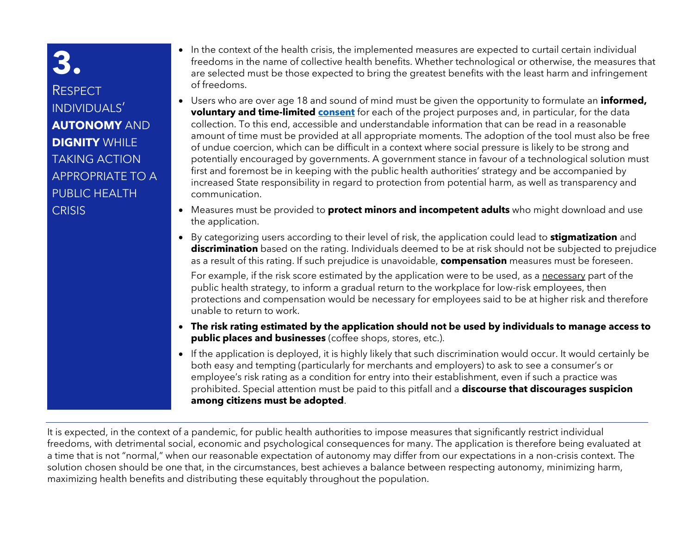#### <span id="page-3-0"></span>**RESPECT** INDIVIDUALS' **AUTONOMY** AND **DIGNITY** WHILE TAKING ACTION APPROPRIATE TO A PUBLIC HEALTH **CRISIS**

- In the context of the health crisis, the implemented measures are expected to curtail certain individual freedoms in the name of collective health benefits. Whether technological or otherwise, the measures that are selected must be those expected to bring the greatest benefits with the least harm and infringement of freedoms.
- Users who are over age 18 and sound of mind must be given the opportunity to formulate an **informed, voluntary and time-limited [consent](#page-4-0)** for each of the project purposes and, in particular, for the data collection. To this end, accessible and understandable information that can be read in a reasonable amount of time must be provided at all appropriate moments. The adoption of the tool must also be free of undue coercion, which can be difficult in a context where social pressure is likely to be strong and potentially encouraged by governments. A government stance in favour of a technological solution must first and foremost be in keeping with the public health authorities' strategy and be accompanied by increased State responsibility in regard to protection from potential harm, as well as transparency and communication.
- Measures must be provided to **protect minors and incompetent adults** who might download and use the application.
- By categorizing users according to their level of risk, the application could lead to **stigmatization** and **discrimination** based on the rating. Individuals deemed to be at risk should not be subjected to prejudice as a result of this rating. If such prejudice is unavoidable, **compensation** measures must be foreseen.

For example, if the risk score estimated by the application were to be used, as a necessary part of the public health strategy, to inform a gradual return to the workplace for low-risk employees, then protections and compensation would be necessary for employees said to be at higher risk and therefore unable to return to work.

- **The risk rating estimated by the application should not be used by individuals to manage access to public places and businesses** (coffee shops, stores, etc.).
- If the application is deployed, it is highly likely that such discrimination would occur. It would certainly be both easy and tempting (particularly for merchants and employers) to ask to see a consumer's or employee's risk rating as a condition for entry into their establishment, even if such a practice was prohibited. Special attention must be paid to this pitfall and a **discourse that discourages suspicion among citizens must be adopted**.

It is expected, in the context of a pandemic, for public health authorities to impose measures that significantly restrict individual freedoms, with detrimental social, economic and psychological consequences for many. The application is therefore being evaluated at a time that is not "normal," when our reasonable expectation of autonomy may differ from our expectations in a non-crisis context. The solution chosen should be one that, in the circumstances, best achieves a balance between respecting autonomy, minimizing harm, maximizing health benefits and distributing these equitably throughout the population.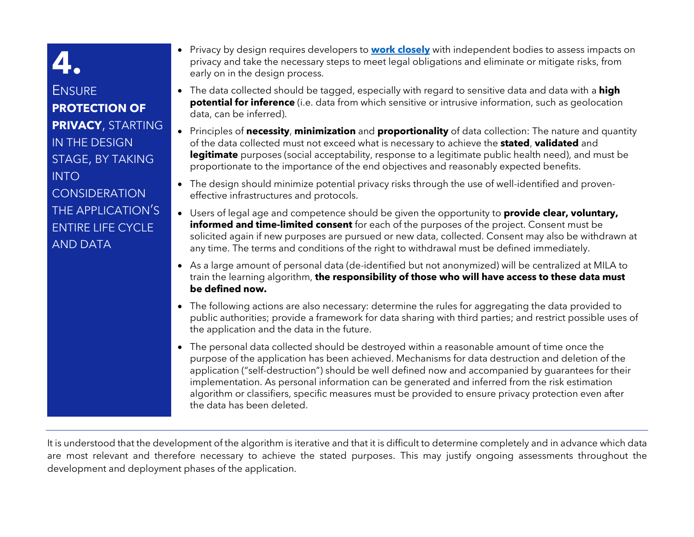<span id="page-4-0"></span>**ENSURE PROTECTION OF PRIVACY**, STARTING IN THE DESIGN STAGE, BY TAKING INTO **CONSIDERATION** THE APPLICATION'S ENTIRE LIFE CYCLE AND DATA

- Privacy by design requires developers to **[work closely](#page-5-0)** with independent bodies to assess impacts on privacy and take the necessary steps to meet legal obligations and eliminate or mitigate risks, from early on in the design process.
- The data collected should be tagged, especially with regard to sensitive data and data with a **high potential for inference** (i.e. data from which sensitive or intrusive information, such as geolocation data, can be inferred).
- Principles of **necessity**, **minimization** and **proportionality** of data collection: The nature and quantity of the data collected must not exceed what is necessary to achieve the **stated**, **validated** and **legitimate** purposes (social acceptability, response to a legitimate public health need), and must be proportionate to the importance of the end objectives and reasonably expected benefits.
- The design should minimize potential privacy risks through the use of well-identified and proveneffective infrastructures and protocols.
- Users of legal age and competence should be given the opportunity to **provide clear, voluntary, informed and time-limited consent** for each of the purposes of the project. Consent must be solicited again if new purposes are pursued or new data, collected. Consent may also be withdrawn at any time. The terms and conditions of the right to withdrawal must be defined immediately.
- As a large amount of personal data (de-identified but not anonymized) will be centralized at MILA to train the learning algorithm, **the responsibility of those who will have access to these data must be defined now.**
- The following actions are also necessary: determine the rules for aggregating the data provided to public authorities; provide a framework for data sharing with third parties; and restrict possible uses of the application and the data in the future.
- The personal data collected should be destroyed within a reasonable amount of time once the purpose of the application has been achieved. Mechanisms for data destruction and deletion of the application ("self-destruction") should be well defined now and accompanied by guarantees for their implementation. As personal information can be generated and inferred from the risk estimation algorithm or classifiers, specific measures must be provided to ensure privacy protection even after the data has been deleted.

It is understood that the development of the algorithm is iterative and that it is difficult to determine completely and in advance which data are most relevant and therefore necessary to achieve the stated purposes. This may justify ongoing assessments throughout the development and deployment phases of the application.